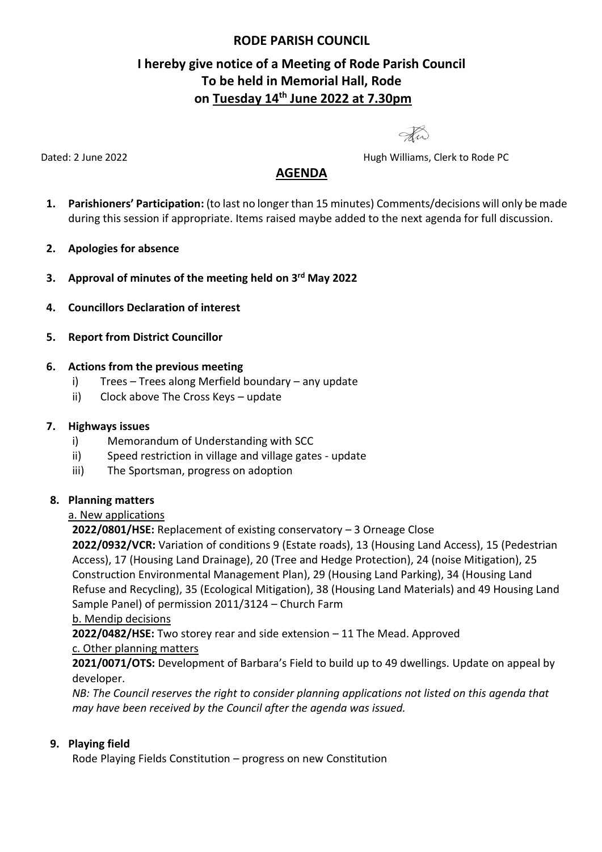## **RODE PARISH COUNCIL**

# **I hereby give notice of a Meeting of Rode Parish Council To be held in Memorial Hall, Rode on Tuesday 14th June 2022 at 7.30pm**

Hw

Dated: 2 June 2022 **Dated: 2 June 2022 Hugh Williams, Clerk to Rode PC** 

## **AGENDA**

- **1. Parishioners' Participation:** (to last no longer than 15 minutes) Comments/decisions will only be made during this session if appropriate. Items raised maybe added to the next agenda for full discussion.
- **2. Apologies for absence**
- **3. Approval of minutes of the meeting held on 3 rd May 2022**
- **4. Councillors Declaration of interest**
- **5. Report from District Councillor**

#### **6. Actions from the previous meeting**

- i) Trees Trees along Merfield boundary any update
- ii) Clock above The Cross Keys update

#### **7. Highways issues**

- i) Memorandum of Understanding with SCC
- ii) Speed restriction in village and village gates update
- iii) The Sportsman, progress on adoption

#### **8. Planning matters**

#### a. New applications

**2022/0801/HSE:** Replacement of existing conservatory – 3 Orneage Close

**2022/0932/VCR:** Variation of conditions 9 (Estate roads), 13 (Housing Land Access), 15 (Pedestrian Access), 17 (Housing Land Drainage), 20 (Tree and Hedge Protection), 24 (noise Mitigation), 25 Construction Environmental Management Plan), 29 (Housing Land Parking), 34 (Housing Land Refuse and Recycling), 35 (Ecological Mitigation), 38 (Housing Land Materials) and 49 Housing Land Sample Panel) of permission 2011/3124 – Church Farm

b. Mendip decisions

**2022/0482/HSE:** Two storey rear and side extension – 11 The Mead. Approved c. Other planning matters

**2021/0071/OTS:** Development of Barbara's Field to build up to 49 dwellings. Update on appeal by developer.

*NB: The Council reserves the right to consider planning applications not listed on this agenda that may have been received by the Council after the agenda was issued.*

## **9. Playing field**

Rode Playing Fields Constitution – progress on new Constitution